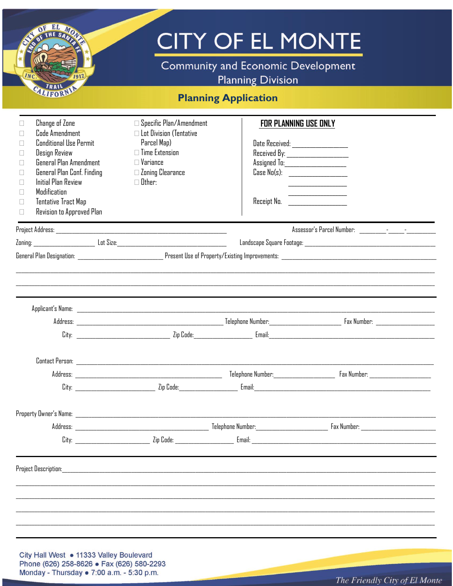|                                                                                                                                                                                                                                                                                                            |                                                                                                                                                                            | <b>Community and Economic Development</b><br><b>Planning Division</b>                                                                                                                                               |  |  |  |  |
|------------------------------------------------------------------------------------------------------------------------------------------------------------------------------------------------------------------------------------------------------------------------------------------------------------|----------------------------------------------------------------------------------------------------------------------------------------------------------------------------|---------------------------------------------------------------------------------------------------------------------------------------------------------------------------------------------------------------------|--|--|--|--|
| <b>Planning Application</b>                                                                                                                                                                                                                                                                                |                                                                                                                                                                            |                                                                                                                                                                                                                     |  |  |  |  |
| <b>Change of Zone</b><br>Code Amendment<br>П<br>Conditional Use Permit<br>П<br>Design Review<br>П<br>General Plan Amendment<br>П<br>General Plan Conf. Finding<br>П<br><b>Initial Plan Review</b><br>П<br>Modification<br>П<br><b>Tentative Tract Map</b><br>$\Box$<br>Revision to Approved Plan<br>$\Box$ | $\Box$ Specific Plan/Amendment<br>$\Box$ Lot Division (Tentative<br>Parcel Map)<br>$\Box$ Time Extension<br>$\square$ Variance<br>$\Box$ Zoning Clearance<br>$\Box$ Other: | <b>FOR PLANNING USE ONLY</b><br>Date Received: __________________<br>Received By: ______________________<br>Assigned To:______________________<br>Case No(s): ____________________<br>Receipt No. _________________ |  |  |  |  |
|                                                                                                                                                                                                                                                                                                            |                                                                                                                                                                            |                                                                                                                                                                                                                     |  |  |  |  |
|                                                                                                                                                                                                                                                                                                            |                                                                                                                                                                            |                                                                                                                                                                                                                     |  |  |  |  |
|                                                                                                                                                                                                                                                                                                            |                                                                                                                                                                            |                                                                                                                                                                                                                     |  |  |  |  |
|                                                                                                                                                                                                                                                                                                            |                                                                                                                                                                            |                                                                                                                                                                                                                     |  |  |  |  |
|                                                                                                                                                                                                                                                                                                            |                                                                                                                                                                            |                                                                                                                                                                                                                     |  |  |  |  |
|                                                                                                                                                                                                                                                                                                            |                                                                                                                                                                            |                                                                                                                                                                                                                     |  |  |  |  |
|                                                                                                                                                                                                                                                                                                            |                                                                                                                                                                            |                                                                                                                                                                                                                     |  |  |  |  |
|                                                                                                                                                                                                                                                                                                            |                                                                                                                                                                            |                                                                                                                                                                                                                     |  |  |  |  |
|                                                                                                                                                                                                                                                                                                            |                                                                                                                                                                            |                                                                                                                                                                                                                     |  |  |  |  |
|                                                                                                                                                                                                                                                                                                            |                                                                                                                                                                            |                                                                                                                                                                                                                     |  |  |  |  |
|                                                                                                                                                                                                                                                                                                            |                                                                                                                                                                            |                                                                                                                                                                                                                     |  |  |  |  |
|                                                                                                                                                                                                                                                                                                            |                                                                                                                                                                            |                                                                                                                                                                                                                     |  |  |  |  |
|                                                                                                                                                                                                                                                                                                            |                                                                                                                                                                            |                                                                                                                                                                                                                     |  |  |  |  |
|                                                                                                                                                                                                                                                                                                            |                                                                                                                                                                            |                                                                                                                                                                                                                     |  |  |  |  |
|                                                                                                                                                                                                                                                                                                            |                                                                                                                                                                            |                                                                                                                                                                                                                     |  |  |  |  |

City Hall West • 11333 Valley Boulevard<br>Phone (626) 258-8626 • Fax (626) 580-2293<br>Monday - Thursday • 7:00 a.m. - 5:30 p.m.